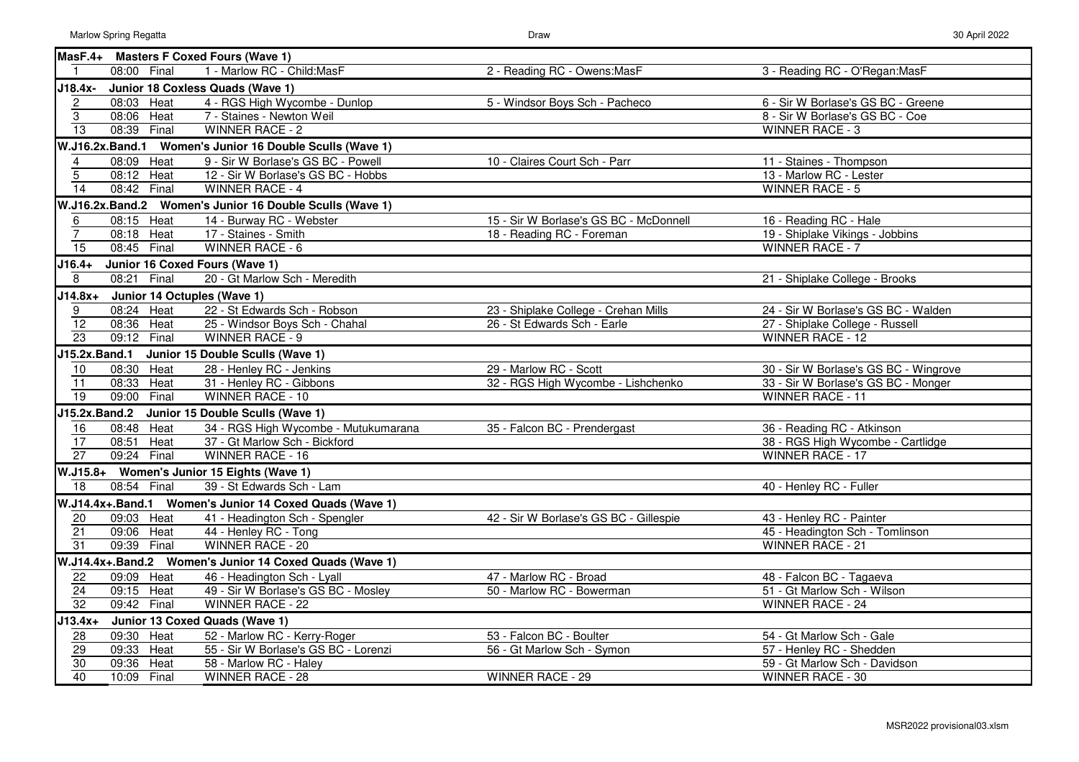|                         |                                     | MasF.4+ Masters F Coxed Fours (Wave 1)                   |                                        |                                       |
|-------------------------|-------------------------------------|----------------------------------------------------------|----------------------------------------|---------------------------------------|
|                         | 08:00 Final                         | 1 - Marlow RC - Child: MasF                              | 2 - Reading RC - Owens: MasF           | 3 - Reading RC - O'Regan: MasF        |
| J18.4x-                 |                                     | Junior 18 Coxless Quads (Wave 1)                         |                                        |                                       |
| $\overline{\mathbf{c}}$ | 08:03 Heat                          | 4 - RGS High Wycombe - Dunlop                            | 5 - Windsor Boys Sch - Pacheco         | 6 - Sir W Borlase's GS BC - Greene    |
| $\overline{3}$          | 08:06 Heat                          | 7 - Staines - Newton Weil                                |                                        | 8 - Sir W Borlase's GS BC - Coe       |
| $\overline{13}$         | 08:39 Final                         | <b>WINNER RACE - 2</b>                                   |                                        | <b>WINNER RACE - 3</b>                |
|                         |                                     | W.J16.2x.Band.1 Women's Junior 16 Double Sculls (Wave 1) |                                        |                                       |
| 4                       | 08:09 Heat                          | 9 - Sir W Borlase's GS BC - Powell                       | 10 - Claires Court Sch - Parr          | 11 - Staines - Thompson               |
| $\overline{5}$          | 08:12 Heat                          | 12 - Sir W Borlase's GS BC - Hobbs                       |                                        | 13 - Marlow RC - Lester               |
| $\overline{14}$         | 08:42 Final                         | <b>WINNER RACE - 4</b>                                   |                                        | <b>WINNER RACE - 5</b>                |
|                         |                                     | W.J16.2x.Band.2 Women's Junior 16 Double Sculls (Wave 1) |                                        |                                       |
| 6                       | 08:15 Heat                          | 14 - Burway RC - Webster                                 | 15 - Sir W Borlase's GS BC - McDonnell | 16 - Reading RC - Hale                |
| $\overline{7}$          | 08:18 Heat                          | 17 - Staines - Smith                                     | 18 - Reading RC - Foreman              | 19 - Shiplake Vikings - Jobbins       |
| $\overline{15}$         | 08:45 Final                         | <b>WINNER RACE - 6</b>                                   |                                        | <b>WINNER RACE - 7</b>                |
| $J16.4+$                |                                     | Junior 16 Coxed Fours (Wave 1)                           |                                        |                                       |
| 8                       | 08:21 Final                         | 20 - Gt Marlow Sch - Meredith                            |                                        | 21 - Shiplake College - Brooks        |
|                         | J14.8x+ Junior 14 Octuples (Wave 1) |                                                          |                                        |                                       |
| 9                       | 08:24 Heat                          | 22 - St Edwards Sch - Robson                             | 23 - Shiplake College - Crehan Mills   | 24 - Sir W Borlase's GS BC - Walden   |
| $\overline{12}$         | 08:36 Heat                          | 25 - Windsor Boys Sch - Chahal                           | 26 - St Edwards Sch - Earle            | 27 - Shiplake College - Russell       |
| $\overline{23}$         | 09:12 Final                         | WINNER RACE - 9                                          |                                        | <b>WINNER RACE - 12</b>               |
|                         |                                     | J15.2x.Band.1 Junior 15 Double Sculls (Wave 1)           |                                        |                                       |
| 10                      | 08:30 Heat                          | 28 - Henley RC - Jenkins                                 | 29 - Marlow RC - Scott                 | 30 - Sir W Borlase's GS BC - Wingrove |
| 11                      | 08:33 Heat                          | 31 - Henley RC - Gibbons                                 | 32 - RGS High Wycombe - Lishchenko     | 33 - Sir W Borlase's GS BC - Monger   |
| $\overline{19}$         | 09:00<br>Final                      | <b>WINNER RACE - 10</b>                                  |                                        | <b>WINNER RACE - 11</b>               |
|                         |                                     | J15.2x.Band.2 Junior 15 Double Sculls (Wave 1)           |                                        |                                       |
| 16                      | 08:48 Heat                          | 34 - RGS High Wycombe - Mutukumarana                     | 35 - Falcon BC - Prendergast           | 36 - Reading RC - Atkinson            |
| $\overline{17}$         | 08:51<br>Heat                       | 37 - Gt Marlow Sch - Bickford                            |                                        | 38 - RGS High Wycombe - Cartlidge     |
| $\overline{27}$         | 09:24 Final                         | <b>WINNER RACE - 16</b>                                  |                                        | <b>WINNER RACE - 17</b>               |
|                         |                                     | W.J15.8+ Women's Junior 15 Eights (Wave 1)               |                                        |                                       |
| $\overline{18}$         | 08:54 Final                         | 39 - St Edwards Sch - Lam                                |                                        | 40 - Henley RC - Fuller               |
|                         |                                     | W.J14.4x+.Band.1 Women's Junior 14 Coxed Quads (Wave 1)  |                                        |                                       |
| 20                      | 09:03 Heat                          | 41 - Headington Sch - Spengler                           | 42 - Sir W Borlase's GS BC - Gillespie | 43 - Henley RC - Painter              |
| $\overline{21}$         | 09:06 Heat                          | 44 - Henley RC - Tong                                    |                                        | 45 - Headington Sch - Tomlinson       |
| $\overline{31}$         | 09:39 Final                         | <b>WINNER RACE - 20</b>                                  |                                        | <b>WINNER RACE - 21</b>               |
|                         |                                     | W.J14.4x+.Band.2 Women's Junior 14 Coxed Quads (Wave 1)  |                                        |                                       |
| 22                      | 09:09 Heat                          | 46 - Headington Sch - Lyall                              | 47 - Marlow RC - Broad                 | 48 - Falcon BC - Tagaeva              |
| $\frac{1}{24}$          | 09:15 Heat                          | 49 - Sir W Borlase's GS BC - Mosley                      | 50 - Marlow RC - Bowerman              | 51 - Gt Marlow Sch - Wilson           |
| $\overline{32}$         | 09:42 Final                         | <b>WINNER RACE - 22</b>                                  |                                        | <b>WINNER RACE - 24</b>               |
| $J13.4x+$               |                                     | Junior 13 Coxed Quads (Wave 1)                           |                                        |                                       |
| 28                      | 09:30 Heat                          | 52 - Marlow RC - Kerry-Roger                             | 53 - Falcon BC - Boulter               | 54 - Gt Marlow Sch - Gale             |
|                         | 09:33 Heat                          | 55 - Sir W Borlase's GS BC - Lorenzi                     | 56 - Gt Marlow Sch - Symon             | 57 - Henley RC - Shedden              |
| $\frac{29}{30}$         | 09:36<br>Heat                       | 58 - Marlow RC - Haley                                   |                                        | 59 - Gt Marlow Sch - Davidson         |
| 40                      | 10:09 Final                         | <b>WINNER RACE - 28</b>                                  | <b>WINNER RACE - 29</b>                | <b>WINNER RACE - 30</b>               |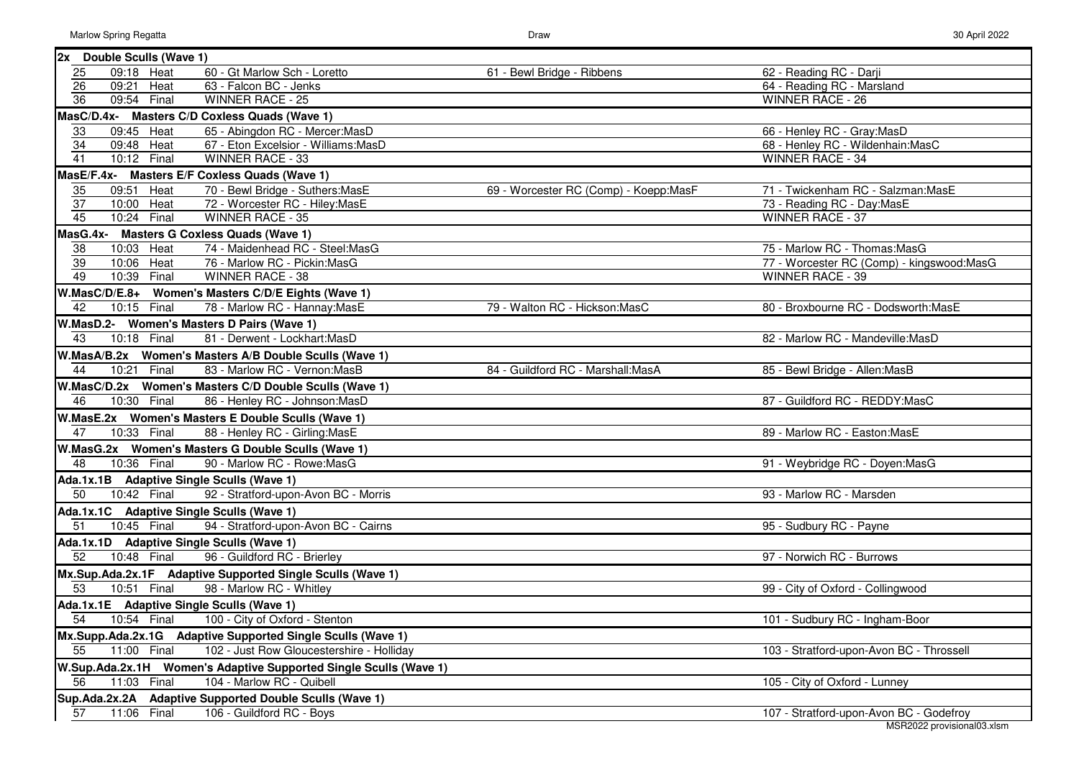| W | 30 April 2022 |
|---|---------------|
|   |               |

| 2x Double Sculls (Wave 1)                                              |                                       |                                           |
|------------------------------------------------------------------------|---------------------------------------|-------------------------------------------|
| 09:18 Heat<br>60 - Gt Marlow Sch - Loretto<br>25                       | 61 - Bewl Bridge - Ribbens            | 62 - Reading RC - Darji                   |
| 26<br>63 - Falcon BC - Jenks<br>09:21 Heat                             |                                       | 64 - Reading RC - Marsland                |
| 09:54 Final<br>36<br><b>WINNER RACE - 25</b>                           |                                       | <b>WINNER RACE - 26</b>                   |
| MasC/D.4x- Masters C/D Coxless Quads (Wave 1)                          |                                       |                                           |
| 33<br>65 - Abingdon RC - Mercer: MasD<br>09:45 Heat                    |                                       | 66 - Henley RC - Gray: MasD               |
| 34<br>09:48 Heat<br>67 - Eton Excelsior - Williams:MasD                |                                       | 68 - Henley RC - Wildenhain: MasC         |
| $\overline{41}$<br>WINNER RACE - 33<br>10:12 Final                     |                                       | <b>WINNER RACE - 34</b>                   |
| MasE/F.4x- Masters E/F Coxless Quads (Wave 1)                          |                                       |                                           |
| 35<br>09:51 Heat<br>70 - Bewl Bridge - Suthers: MasE                   | 69 - Worcester RC (Comp) - Koepp:MasF | 71 - Twickenham RC - Salzman: MasE        |
| $\overline{37}$<br>72 - Worcester RC - Hiley: MasE<br>10:00 Heat       |                                       | 73 - Reading RC - Day: MasE               |
| 45<br>WINNER RACE - 35<br>10:24 Final                                  |                                       | WINNER RACE - 37                          |
| MasG.4x- Masters G Coxless Quads (Wave 1)                              |                                       |                                           |
| 74 - Maidenhead RC - Steel: MasG<br>10:03 Heat<br>38                   |                                       | 75 - Marlow RC - Thomas: MasG             |
| 39<br>10:06 Heat<br>76 - Marlow RC - Pickin: MasG                      |                                       | 77 - Worcester RC (Comp) - kingswood:MasG |
| 49<br>10:39 Final<br>WINNER RACE - 38                                  |                                       | <b>WINNER RACE - 39</b>                   |
| W.MasC/D/E.8+ Women's Masters C/D/E Eights (Wave 1)                    |                                       |                                           |
| 78 - Marlow RC - Hannay: MasE<br>42<br>10:15 Final                     | 79 - Walton RC - Hickson: MasC        | 80 - Broxbourne RC - Dodsworth: MasE      |
| W.MasD.2- Women's Masters D Pairs (Wave 1)                             |                                       |                                           |
| 43<br>10:18 Final<br>81 - Derwent - Lockhart: MasD                     |                                       | 82 - Marlow RC - Mandeville: MasD         |
| W.MasA/B.2x Women's Masters A/B Double Sculls (Wave 1)                 |                                       |                                           |
| 44<br>83 - Marlow RC - Vernon: MasB<br>10:21 Final                     | 84 - Guildford RC - Marshall: MasA    | 85 - Bewl Bridge - Allen: MasB            |
| W.MasC/D.2x Women's Masters C/D Double Sculls (Wave 1)                 |                                       |                                           |
| 46<br>86 - Henley RC - Johnson: MasD<br>10:30 Final                    |                                       | 87 - Guildford RC - REDDY:MasC            |
| W.MasE.2x Women's Masters E Double Sculls (Wave 1)                     |                                       |                                           |
| 47<br>10:33 Final<br>88 - Henley RC - Girling: MasE                    |                                       | 89 - Marlow RC - Easton: MasE             |
| W.MasG.2x Women's Masters G Double Sculls (Wave 1)                     |                                       |                                           |
| $\overline{48}$<br>10:36 Final<br>90 - Marlow RC - Rowe: MasG          |                                       | 91 - Weybridge RC - Doyen: MasG           |
| Ada.1x.1B Adaptive Single Sculls (Wave 1)                              |                                       |                                           |
| $\overline{50}$<br>10:42 Final<br>92 - Stratford-upon-Avon BC - Morris |                                       | 93 - Marlow RC - Marsden                  |
| Ada.1x.1C Adaptive Single Sculls (Wave 1)                              |                                       |                                           |
| 51<br>10:45 Final<br>94 - Stratford-upon-Avon BC - Cairns              |                                       | 95 - Sudbury RC - Payne                   |
| Ada.1x.1D Adaptive Single Sculls (Wave 1)                              |                                       |                                           |
| 52<br>10:48 Final<br>96 - Guildford RC - Brierley                      |                                       | 97 - Norwich RC - Burrows                 |
| Mx.Sup.Ada.2x.1F Adaptive Supported Single Sculls (Wave 1)             |                                       |                                           |
| $\overline{53}$<br>10:51 Final<br>98 - Marlow RC - Whitley             |                                       | 99 - City of Oxford - Collingwood         |
| Ada.1x.1E Adaptive Single Sculls (Wave 1)                              |                                       |                                           |
| 54<br>10:54 Final 100 - City of Oxford - Stenton                       |                                       | 101 - Sudbury RC - Ingham-Boor            |
| Mx.Supp.Ada.2x.1G Adaptive Supported Single Sculls (Wave 1)            |                                       |                                           |
| 11:00 Final<br>55<br>102 - Just Row Gloucestershire - Holliday         |                                       | 103 - Stratford-upon-Avon BC - Throssell  |
| W.Sup.Ada.2x.1H Women's Adaptive Supported Single Sculls (Wave 1)      |                                       |                                           |
| 104 - Marlow RC - Quibell<br>11:03 Final                               |                                       |                                           |
| 56                                                                     |                                       | 105 - City of Oxford - Lunney             |
| Sup.Ada.2x.2A Adaptive Supported Double Sculls (Wave 1)                |                                       |                                           |
| 11:06 Final<br>106 - Guildford RC - Boys<br>57                         |                                       | 107 - Stratford-upon-Avon BC - Godefroy   |

MSR2022 provisional03.xlsm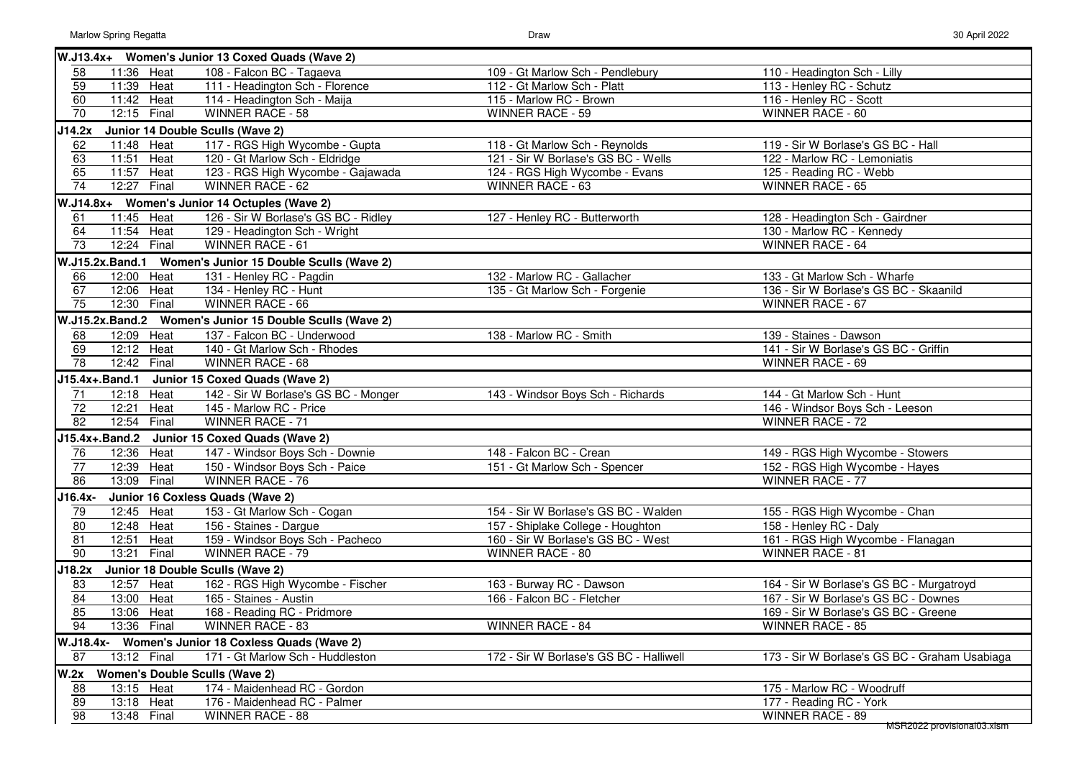|                 |                 | W.J13.4x+ Women's Junior 13 Coxed Quads (Wave 2)         |                                         |                                               |
|-----------------|-----------------|----------------------------------------------------------|-----------------------------------------|-----------------------------------------------|
| 58              | 11:36 Heat      | 108 - Falcon BC - Tagaeva                                | 109 - Gt Marlow Sch - Pendlebury        | 110 - Headington Sch - Lilly                  |
| 59              | 11:39 Heat      | 111 - Headington Sch - Florence                          | 112 - Gt Marlow Sch - Platt             | 113 - Henley RC - Schutz                      |
| 60              | 11:42 Heat      | 114 - Headington Sch - Maija                             | 115 - Marlow RC - Brown                 | 116 - Henley RC - Scott                       |
| 70              | 12:15 Final     | WINNER RACE - 58                                         | WINNER RACE - 59                        | WINNER RACE - 60                              |
| J14.2x          |                 | Junior 14 Double Sculls (Wave 2)                         |                                         |                                               |
| 62              | 11:48 Heat      | 117 - RGS High Wycombe - Gupta                           | 118 - Gt Marlow Sch - Reynolds          | 119 - Sir W Borlase's GS BC - Hall            |
| 63              | 11:51 Heat      | 120 - Gt Marlow Sch - Eldridge                           | 121 - Sir W Borlase's GS BC - Wells     | 122 - Marlow RC - Lemoniatis                  |
| 65              | 11:57 Heat      | 123 - RGS High Wycombe - Gajawada                        | 124 - RGS High Wycombe - Evans          | 125 - Reading RC - Webb                       |
| 74              | 12:27<br>Final  | <b>WINNER RACE - 62</b>                                  | WINNER RACE - 63                        | WINNER RACE - 65                              |
|                 |                 | W.J14.8x+ Women's Junior 14 Octuples (Wave 2)            |                                         |                                               |
| 61              | 11:45 Heat      | 126 - Sir W Borlase's GS BC - Ridley                     | 127 - Henley RC - Butterworth           | 128 - Headington Sch - Gairdner               |
| 64              | 11:54 Heat      | 129 - Headington Sch - Wright                            |                                         | 130 - Marlow RC - Kennedy                     |
| 73              | 12:24 Final     | WINNER RACE - 61                                         |                                         | WINNER RACE - 64                              |
|                 | W.J15.2x.Band.1 | Women's Junior 15 Double Sculls (Wave 2)                 |                                         |                                               |
| 66              | 12:00 Heat      | 131 - Henley RC - Pagdin                                 | 132 - Marlow RC - Gallacher             | 133 - Gt Marlow Sch - Wharfe                  |
| 67              | 12:06 Heat      | 134 - Henley RC - Hunt                                   | 135 - Gt Marlow Sch - Forgenie          | 136 - Sir W Borlase's GS BC - Skaanild        |
| 75              | 12:30 Final     | WINNER RACE - 66                                         |                                         | <b>WINNER RACE - 67</b>                       |
|                 |                 | W.J15.2x.Band.2 Women's Junior 15 Double Sculls (Wave 2) |                                         |                                               |
| 68              | 12:09 Heat      | 137 - Falcon BC - Underwood                              | 138 - Marlow RC - Smith                 | 139 - Staines - Dawson                        |
| 69              | 12:12 Heat      | 140 - Gt Marlow Sch - Rhodes                             |                                         | 141 - Sir W Borlase's GS BC - Griffin         |
| 78              | 12:42 Final     | WINNER RACE - 68                                         |                                         | WINNER RACE - 69                              |
|                 | J15.4x+.Band.1  | <b>Junior 15 Coxed Quads (Wave 2)</b>                    |                                         |                                               |
| 71              | 12:18 Heat      | 142 - Sir W Borlase's GS BC - Monger                     | 143 - Windsor Boys Sch - Richards       | 144 - Gt Marlow Sch - Hunt                    |
| $\overline{72}$ | 12:21<br>Heat   | 145 - Marlow RC - Price                                  |                                         | 146 - Windsor Boys Sch - Leeson               |
| $\overline{82}$ | 12:54 Final     | <b>WINNER RACE - 71</b>                                  |                                         | <b>WINNER RACE - 72</b>                       |
|                 |                 | J15.4x+.Band.2 Junior 15 Coxed Quads (Wave 2)            |                                         |                                               |
| 76              | 12:36 Heat      | 147 - Windsor Boys Sch - Downie                          | 148 - Falcon BC - Crean                 | 149 - RGS High Wycombe - Stowers              |
| 77              | 12:39 Heat      | 150 - Windsor Boys Sch - Paice                           | 151 - Gt Marlow Sch - Spencer           | 152 - RGS High Wycombe - Hayes                |
| 86              | 13:09 Final     | <b>WINNER RACE - 76</b>                                  |                                         | <b>WINNER RACE - 77</b>                       |
| J16.4x-         |                 | Junior 16 Coxless Quads (Wave 2)                         |                                         |                                               |
| 79              | 12:45 Heat      | 153 - Gt Marlow Sch - Cogan                              | 154 - Sir W Borlase's GS BC - Walden    | 155 - RGS High Wycombe - Chan                 |
| $\overline{80}$ | 12:48 Heat      | 156 - Staines - Dargue                                   | 157 - Shiplake College - Houghton       | 158 - Henley RC - Daly                        |
| $\overline{81}$ | 12:51<br>Heat   | 159 - Windsor Boys Sch - Pacheco                         | 160 - Sir W Borlase's GS BC - West      | 161 - RGS High Wycombe - Flanagan             |
| 90              | 13:21<br>Final  | <b>WINNER RACE - 79</b>                                  | WINNER RACE - 80                        | <b>WINNER RACE - 81</b>                       |
| J18.2x          |                 | Junior 18 Double Sculls (Wave 2)                         |                                         |                                               |
| 83              | 12:57 Heat      | 162 - RGS High Wycombe - Fischer                         | 163 - Burway RC - Dawson                | 164 - Sir W Borlase's GS BC - Murgatroyd      |
| 84              | 13:00 Heat      | 165 - Staines - Austin                                   | 166 - Falcon BC - Fletcher              | 167 - Sir W Borlase's GS BC - Downes          |
| 85              | 13:06 Heat      | 168 - Reading RC - Pridmore                              |                                         | 169 - Sir W Borlase's GS BC - Greene          |
| 94              | 13:36 Final     | <b>WINNER RACE - 83</b>                                  | WINNER RACE - 84                        | WINNER RACE - 85                              |
|                 |                 | W.J18.4x- Women's Junior 18 Coxless Quads (Wave 2)       |                                         |                                               |
| 87              | 13:12 Final     | 171 - Gt Marlow Sch - Huddleston                         | 172 - Sir W Borlase's GS BC - Halliwell | 173 - Sir W Borlase's GS BC - Graham Usabiaga |
| <b>W.2x</b>     |                 | <b>Women's Double Sculls (Wave 2)</b>                    |                                         |                                               |
| 88              | 13:15 Heat      | 174 - Maidenhead RC - Gordon                             |                                         | 175 - Marlow RC - Woodruff                    |
| 89              | 13:18 Heat      | 176 - Maidenhead RC - Palmer                             |                                         | 177 - Reading RC - York                       |
| $\overline{98}$ | 13:48 Final     | WINNER RACE - 88                                         |                                         | WINNER RACE - 89                              |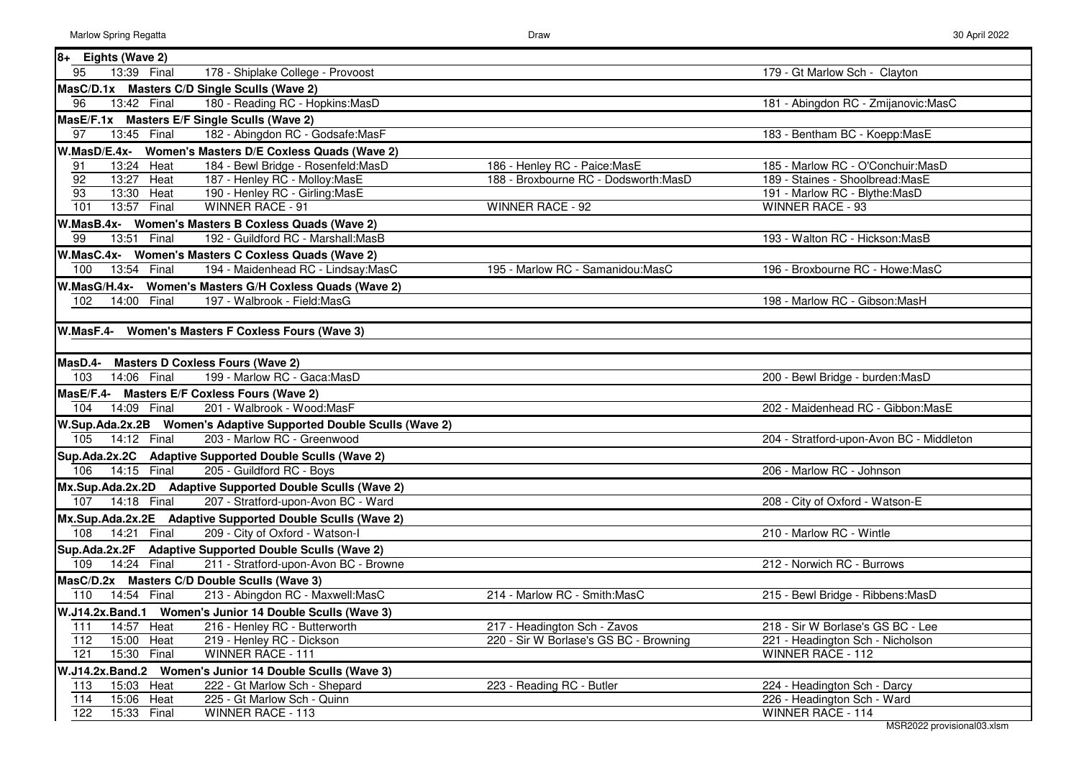| $8+$<br>Eights (Wave 2)                                                                                          |                                                                       |                                                                        |
|------------------------------------------------------------------------------------------------------------------|-----------------------------------------------------------------------|------------------------------------------------------------------------|
| 95<br>178 - Shiplake College - Provoost<br>13:39 Final                                                           |                                                                       | 179 - Gt Marlow Sch - Clayton                                          |
| MasC/D.1x Masters C/D Single Sculls (Wave 2)                                                                     |                                                                       |                                                                        |
| 180 - Reading RC - Hopkins: MasD<br>96<br>13:42 Final                                                            |                                                                       | 181 - Abingdon RC - Zmijanovic:MasC                                    |
| MasE/F.1x Masters E/F Single Sculls (Wave 2)                                                                     |                                                                       |                                                                        |
| $\overline{97}$<br>182 - Abingdon RC - Godsafe: MasF<br>13:45 Final                                              |                                                                       | 183 - Bentham BC - Koepp:MasE                                          |
|                                                                                                                  |                                                                       |                                                                        |
| W.MasD/E.4x- Women's Masters D/E Coxless Quads (Wave 2)                                                          |                                                                       |                                                                        |
| 184 - Bewl Bridge - Rosenfeld: MasD<br>91<br>13:24 Heat<br>92<br>13:27 Heat                                      | 186 - Henley RC - Paice: MasE<br>188 - Broxbourne RC - Dodsworth:MasD | 185 - Marlow RC - O'Conchuir: MasD<br>189 - Staines - Shoolbread: MasE |
| 187 - Henley RC - Molloy: MasE<br>93<br>Heat<br>190 - Henley RC - Girling: MasE<br>13:30                         |                                                                       | 191 - Marlow RC - Blythe: MasD                                         |
| 101<br>Final<br><b>WINNER RACE - 91</b><br>13:57                                                                 | <b>WINNER RACE - 92</b>                                               | <b>WINNER RACE - 93</b>                                                |
| W.MasB.4x- Women's Masters B Coxless Quads (Wave 2)                                                              |                                                                       |                                                                        |
| 99<br>Final<br>192 - Guildford RC - Marshall: MasB<br>13:51                                                      |                                                                       | 193 - Walton RC - Hickson: MasB                                        |
|                                                                                                                  |                                                                       |                                                                        |
| W.MasC.4x- Women's Masters C Coxless Quads (Wave 2)<br>100<br>194 - Maidenhead RC - Lindsay: MasC<br>13:54 Final | 195 - Marlow RC - Samanidou:MasC                                      | 196 - Broxbourne RC - Howe:MasC                                        |
|                                                                                                                  |                                                                       |                                                                        |
| W.MasG/H.4x- Women's Masters G/H Coxless Quads (Wave 2)                                                          |                                                                       |                                                                        |
| 14:00 Final<br>197 - Walbrook - Field: MasG<br>102                                                               |                                                                       | 198 - Marlow RC - Gibson:MasH                                          |
|                                                                                                                  |                                                                       |                                                                        |
| W.MasF.4-<br>Women's Masters F Coxless Fours (Wave 3)                                                            |                                                                       |                                                                        |
|                                                                                                                  |                                                                       |                                                                        |
| <b>Masters D Coxless Fours (Wave 2)</b><br>MasD.4-                                                               |                                                                       |                                                                        |
| 199 - Marlow RC - Gaca: MasD<br>103<br>14:06 Final                                                               |                                                                       | 200 - Bewl Bridge - burden: MasD                                       |
| MasE/F.4- Masters E/F Coxless Fours (Wave 2)                                                                     |                                                                       |                                                                        |
| 201 - Walbrook - Wood:MasF<br>104<br>14:09 Final                                                                 |                                                                       | 202 - Maidenhead RC - Gibbon:MasE                                      |
| W.Sup.Ada.2x.2B     Women's Adaptive Supported Double Sculls (Wave 2)                                            |                                                                       |                                                                        |
| 105<br>14:12 Final<br>203 - Marlow RC - Greenwood                                                                |                                                                       | 204 - Stratford-upon-Avon BC - Middleton                               |
| Sup.Ada.2x.2C Adaptive Supported Double Sculls (Wave 2)                                                          |                                                                       |                                                                        |
| 14:15 Final<br>205 - Guildford RC - Boys<br>106                                                                  |                                                                       | 206 - Marlow RC - Johnson                                              |
| Mx.Sup.Ada.2x.2D Adaptive Supported Double Sculls (Wave 2)                                                       |                                                                       |                                                                        |
| $14:18$ Final<br>207 - Stratford-upon-Avon BC - Ward<br>107                                                      |                                                                       | 208 - City of Oxford - Watson-E                                        |
| Mx.Sup.Ada.2x.2E Adaptive Supported Double Sculls (Wave 2)                                                       |                                                                       |                                                                        |
| 108<br>14:21 Final<br>209 - City of Oxford - Watson-I                                                            |                                                                       | 210 - Marlow RC - Wintle                                               |
| Sup.Ada.2x.2F Adaptive Supported Double Sculls (Wave 2)                                                          |                                                                       |                                                                        |
| 14:24 Final<br>211 - Stratford-upon-Avon BC - Browne<br>109                                                      |                                                                       | 212 - Norwich RC - Burrows                                             |
| MasC/D.2x Masters C/D Double Sculls (Wave 3)                                                                     |                                                                       |                                                                        |
| 14:54 Final<br>213 - Abingdon RC - Maxwell: MasC<br>110                                                          | 214 - Marlow RC - Smith:MasC                                          | 215 - Bewl Bridge - Ribbens: MasD                                      |
| W.J14.2x.Band.1 Women's Junior 14 Double Sculls (Wave 3)                                                         |                                                                       |                                                                        |
| 216 - Henley RC - Butterworth<br>111<br>14:57 Heat                                                               | 217 - Headington Sch - Zavos                                          | 218 - Sir W Borlase's GS BC - Lee                                      |
| 112<br>15:00 Heat<br>219 - Henley RC - Dickson                                                                   | 220 - Sir W Borlase's GS BC - Browning                                | 221 - Headington Sch - Nicholson                                       |
| 121<br>15:30<br>Final<br>WINNER RACE - 111                                                                       |                                                                       | WINNER RACE - 112                                                      |
| W.J14.2x.Band.2 Women's Junior 14 Double Sculls (Wave 3)                                                         |                                                                       |                                                                        |
| 15:03 Heat<br>222 - Gt Marlow Sch - Shepard<br>113                                                               | 223 - Reading RC - Butler                                             | 224 - Headington Sch - Darcy                                           |
| 114<br>15:06 Heat<br>225 - Gt Marlow Sch - Quinn                                                                 |                                                                       | 226 - Headington Sch - Ward                                            |
| 122<br>15:33 Final<br>WINNER RACE - 113                                                                          |                                                                       | WINNER RACE - 114                                                      |
|                                                                                                                  |                                                                       |                                                                        |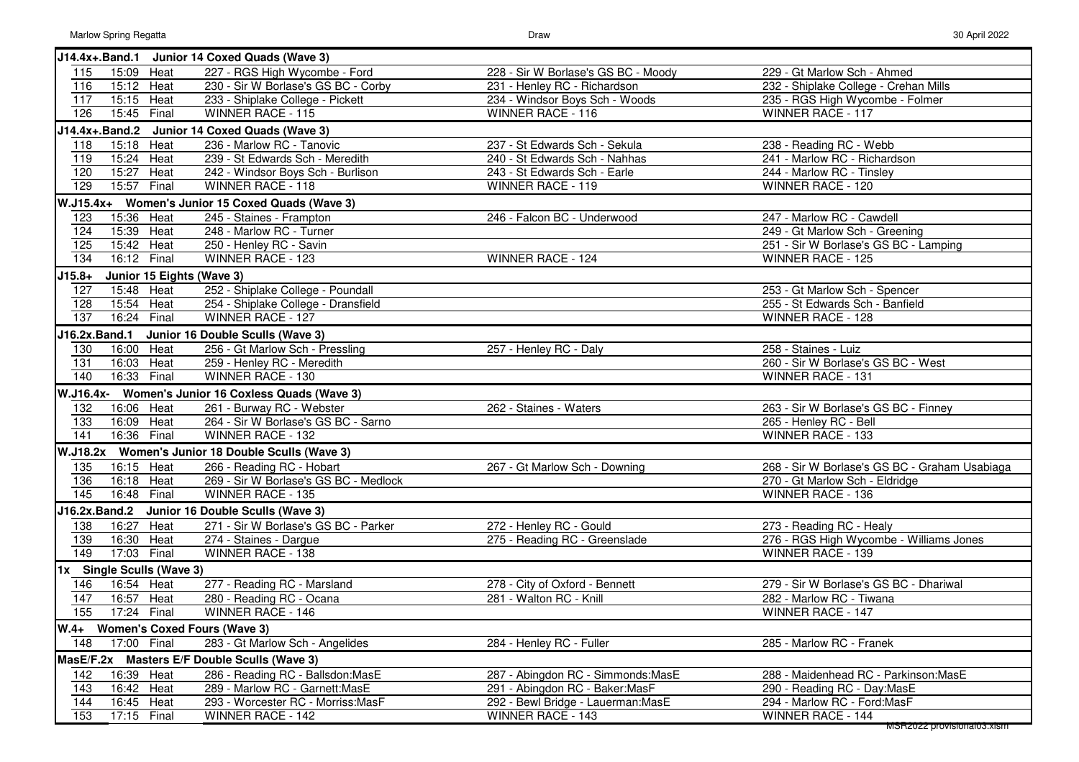| W | 30 April 2022 |
|---|---------------|
|   |               |

|                  |                           |       | J14.4x+.Band.1 Junior 14 Coxed Quads (Wave 3)      |                                     |                                               |
|------------------|---------------------------|-------|----------------------------------------------------|-------------------------------------|-----------------------------------------------|
| 115              | 15:09 Heat                |       | 227 - RGS High Wycombe - Ford                      | 228 - Sir W Borlase's GS BC - Moody | 229 - Gt Marlow Sch - Ahmed                   |
| 116              | $15:12$ Heat              |       | 230 - Sir W Borlase's GS BC - Corby                | 231 - Henley RC - Richardson        | 232 - Shiplake College - Crehan Mills         |
| 117              | 15:15 Heat                |       | 233 - Shiplake College - Pickett                   | 234 - Windsor Boys Sch - Woods      | 235 - RGS High Wycombe - Folmer               |
| 126              | 15:45 Final               |       | WINNER RACE - 115                                  | WINNER RACE - 116                   | WINNER RACE - 117                             |
|                  | J14.4x+.Band.2            |       | Junior 14 Coxed Quads (Wave 3)                     |                                     |                                               |
| 118              | 15:18 Heat                |       | 236 - Marlow RC - Tanovic                          | 237 - St Edwards Sch - Sekula       | 238 - Reading RC - Webb                       |
| 119              | 15:24 Heat                |       | 239 - St Edwards Sch - Meredith                    | 240 - St Edwards Sch - Nahhas       | 241 - Marlow RC - Richardson                  |
| 120              | 15:27                     | Heat  | 242 - Windsor Boys Sch - Burlison                  | 243 - St Edwards Sch - Earle        | 244 - Marlow RC - Tinsley                     |
| 129              | 15:57                     | Final | <b>WINNER RACE - 118</b>                           | <b>WINNER RACE - 119</b>            | WINNER RACE - 120                             |
|                  |                           |       | W.J15.4x+ Women's Junior 15 Coxed Quads (Wave 3)   |                                     |                                               |
| 123              | 15:36 Heat                |       | 245 - Staines - Frampton                           | 246 - Falcon BC - Underwood         | 247 - Marlow RC - Cawdell                     |
| 124              | 15:39 Heat                |       | 248 - Marlow RC - Turner                           |                                     | 249 - Gt Marlow Sch - Greening                |
| 125              | 15:42 Heat                |       | 250 - Henley RC - Savin                            |                                     | 251 - Sir W Borlase's GS BC - Lamping         |
| 134              | 16:12 Final               |       | WINNER RACE - 123                                  | WINNER RACE - 124                   | WINNER RACE - 125                             |
| $J15.8+$         |                           |       | Junior 15 Eights (Wave 3)                          |                                     |                                               |
| 127              | 15:48 Heat                |       | 252 - Shiplake College - Poundall                  |                                     | 253 - Gt Marlow Sch - Spencer                 |
| 128              | 15:54 Heat                |       | 254 - Shiplake College - Dransfield                |                                     | 255 - St Edwards Sch - Banfield               |
| 137              | 16:24 Final               |       | WINNER RACE - 127                                  |                                     | WINNER RACE - 128                             |
| J16.2x.Band.1    |                           |       | Junior 16 Double Sculls (Wave 3)                   |                                     |                                               |
| 130              | 16:00 Heat                |       | 256 - Gt Marlow Sch - Pressling                    | 257 - Henley RC - Daly              | 258 - Staines - Luiz                          |
| 131              | 16:03                     | Heat  | 259 - Henley RC - Meredith                         |                                     | 260 - Sir W Borlase's GS BC - West            |
| 140              | 16:33                     | Final | WINNER RACE - 130                                  |                                     | WINNER RACE - 131                             |
|                  |                           |       | W.J16.4x- Women's Junior 16 Coxless Quads (Wave 3) |                                     |                                               |
| 132              | 16:06 Heat                |       | 261 - Burway RC - Webster                          | 262 - Staines - Waters              | 263 - Sir W Borlase's GS BC - Finney          |
| 133              | 16:09 Heat                |       | 264 - Sir W Borlase's GS BC - Sarno                |                                     | 265 - Henley RC - Bell                        |
| $\overline{141}$ | 16:36 Final               |       | WINNER RACE - 132                                  |                                     | WINNER RACE - 133                             |
|                  |                           |       | W.J18.2x Women's Junior 18 Double Sculls (Wave 3)  |                                     |                                               |
| 135              | 16:15 Heat                |       | 266 - Reading RC - Hobart                          | 267 - Gt Marlow Sch - Downing       | 268 - Sir W Borlase's GS BC - Graham Usabiaga |
| 136              | 16:18 Heat                |       | 269 - Sir W Borlase's GS BC - Medlock              |                                     | 270 - Gt Marlow Sch - Eldridge                |
| 145              | 16:48 Final               |       | <b>WINNER RACE - 135</b>                           |                                     | WINNER RACE - 136                             |
|                  |                           |       | J16.2x.Band.2 Junior 16 Double Sculls (Wave 3)     |                                     |                                               |
| 138              | 16:27 Heat                |       | 271 - Sir W Borlase's GS BC - Parker               | 272 - Henley RC - Gould             | 273 - Reading RC - Healy                      |
| 139              | 16:30 Heat                |       | 274 - Staines - Dargue                             | 275 - Reading RC - Greenslade       | 276 - RGS High Wycombe - Williams Jones       |
| 149              | 17:03 Final               |       | WINNER RACE - 138                                  |                                     | WINNER RACE - 139                             |
|                  | 1x Single Sculls (Wave 3) |       |                                                    |                                     |                                               |
| 146              | 16:54 Heat                |       | 277 - Reading RC - Marsland                        | 278 - City of Oxford - Bennett      | 279 - Sir W Borlase's GS BC - Dhariwal        |
| 147              | 16:57 Heat                |       | 280 - Reading RC - Ocana                           | 281 - Walton RC - Knill             | 282 - Marlow RC - Tiwana                      |
| 155              | 17:24 Final               |       | <b>WINNER RACE - 146</b>                           |                                     | <b>WINNER RACE - 147</b>                      |
|                  |                           |       | W.4+ Women's Coxed Fours (Wave 3)                  |                                     |                                               |
| 148              | 17:00 Final               |       | 283 - Gt Marlow Sch - Angelides                    | 284 - Henley RC - Fuller            | 285 - Marlow RC - Franek                      |
|                  |                           |       | MasE/F.2x Masters E/F Double Sculls (Wave 3)       |                                     |                                               |
| 142              | 16:39 Heat                |       | 286 - Reading RC - Ballsdon: MasE                  | 287 - Abingdon RC - Simmonds: MasE  | 288 - Maidenhead RC - Parkinson: MasE         |
| 143              | 16:42 Heat                |       | 289 - Marlow RC - Garnett: MasE                    | 291 - Abingdon RC - Baker: MasF     | 290 - Reading RC - Day:MasE                   |
| 144              | 16:45 Heat                |       | 293 - Worcester RC - Morriss: MasF                 | 292 - Bewl Bridge - Lauerman: MasE  | 294 - Marlow RC - Ford: MasF                  |
| 153              | 17:15 Final               |       | WINNER RACE - 142                                  | WINNER RACE - 143                   | WINNER RACE - 144                             |
|                  |                           |       |                                                    |                                     | MSRZUZZ provisionalu3.xism                    |